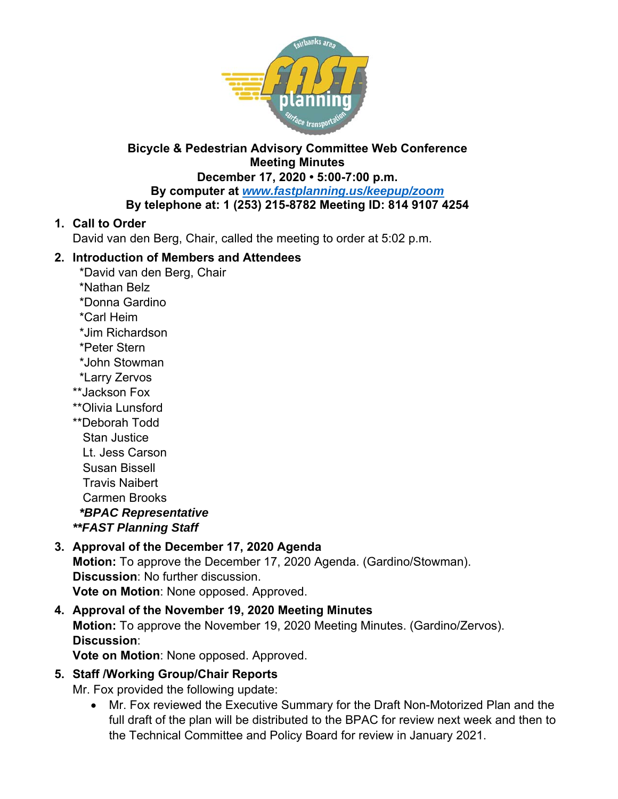

### **Bicycle & Pedestrian Advisory Committee Web Conference Meeting Minutes**

#### **December 17, 2020 • 5:00-7:00 p.m. By computer at** *www.fastplanning.us/keepup/zoom* **By telephone at: 1 (253) 215-8782 Meeting ID: 814 9107 4254**

## **1. Call to Order**

David van den Berg, Chair, called the meeting to order at 5:02 p.m.

## **2. Introduction of Members and Attendees**

- \*David van den Berg, Chair
- \*Nathan Belz
- \*Donna Gardino
- \*Carl Heim
- \*Jim Richardson
- \*Peter Stern
- \*John Stowman
- \*Larry Zervos
- \*\*Jackson Fox
- \*\*Olivia Lunsford
- \*\*Deborah Todd
	- Stan Justice
	- Lt. Jess Carson
	- Susan Bissell
	- Travis Naibert

Carmen Brooks

 *\*BPAC Representative* 

*\*\*FAST Planning Staff* 

## **3. Approval of the December 17, 2020 Agenda**

**Motion:** To approve the December 17, 2020 Agenda. (Gardino/Stowman). **Discussion**: No further discussion. **Vote on Motion**: None opposed. Approved.

# **4. Approval of the November 19, 2020 Meeting Minutes**

**Motion:** To approve the November 19, 2020 Meeting Minutes. (Gardino/Zervos). **Discussion**:

**Vote on Motion**: None opposed. Approved.

## **5. Staff /Working Group/Chair Reports**

Mr. Fox provided the following update:

 Mr. Fox reviewed the Executive Summary for the Draft Non-Motorized Plan and the full draft of the plan will be distributed to the BPAC for review next week and then to the Technical Committee and Policy Board for review in January 2021.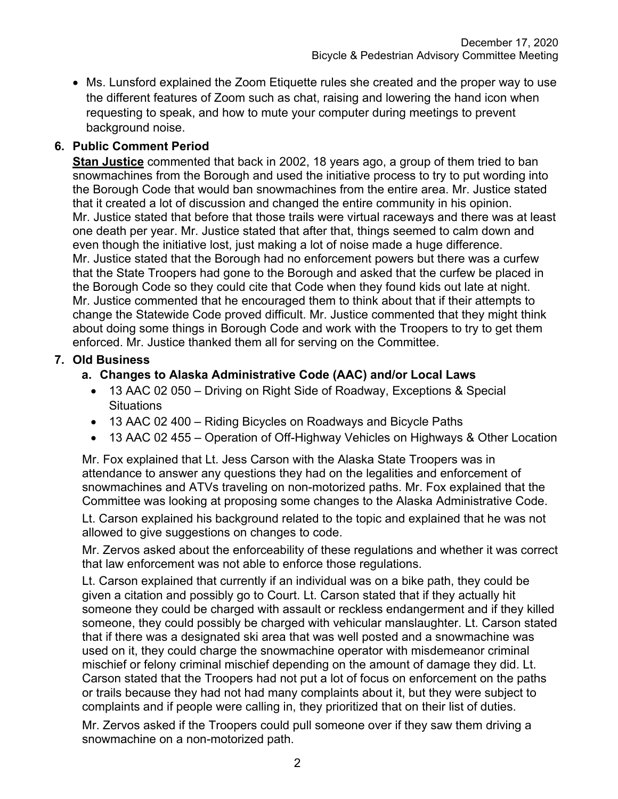Ms. Lunsford explained the Zoom Etiquette rules she created and the proper way to use the different features of Zoom such as chat, raising and lowering the hand icon when requesting to speak, and how to mute your computer during meetings to prevent background noise.

## **6. Public Comment Period**

**Stan Justice** commented that back in 2002, 18 years ago, a group of them tried to ban snowmachines from the Borough and used the initiative process to try to put wording into the Borough Code that would ban snowmachines from the entire area. Mr. Justice stated that it created a lot of discussion and changed the entire community in his opinion. Mr. Justice stated that before that those trails were virtual raceways and there was at least one death per year. Mr. Justice stated that after that, things seemed to calm down and even though the initiative lost, just making a lot of noise made a huge difference. Mr. Justice stated that the Borough had no enforcement powers but there was a curfew that the State Troopers had gone to the Borough and asked that the curfew be placed in the Borough Code so they could cite that Code when they found kids out late at night. Mr. Justice commented that he encouraged them to think about that if their attempts to change the Statewide Code proved difficult. Mr. Justice commented that they might think about doing some things in Borough Code and work with the Troopers to try to get them enforced. Mr. Justice thanked them all for serving on the Committee.

#### **7. Old Business**

#### **a. Changes to Alaska Administrative Code (AAC) and/or Local Laws**

- 13 AAC 02 050 Driving on Right Side of Roadway, Exceptions & Special **Situations**
- 13 AAC 02 400 Riding Bicycles on Roadways and Bicycle Paths
- 13 AAC 02 455 Operation of Off-Highway Vehicles on Highways & Other Location

Mr. Fox explained that Lt. Jess Carson with the Alaska State Troopers was in attendance to answer any questions they had on the legalities and enforcement of snowmachines and ATVs traveling on non-motorized paths. Mr. Fox explained that the Committee was looking at proposing some changes to the Alaska Administrative Code.

Lt. Carson explained his background related to the topic and explained that he was not allowed to give suggestions on changes to code.

Mr. Zervos asked about the enforceability of these regulations and whether it was correct that law enforcement was not able to enforce those regulations.

Lt. Carson explained that currently if an individual was on a bike path, they could be given a citation and possibly go to Court. Lt. Carson stated that if they actually hit someone they could be charged with assault or reckless endangerment and if they killed someone, they could possibly be charged with vehicular manslaughter. Lt. Carson stated that if there was a designated ski area that was well posted and a snowmachine was used on it, they could charge the snowmachine operator with misdemeanor criminal mischief or felony criminal mischief depending on the amount of damage they did. Lt. Carson stated that the Troopers had not put a lot of focus on enforcement on the paths or trails because they had not had many complaints about it, but they were subject to complaints and if people were calling in, they prioritized that on their list of duties.

Mr. Zervos asked if the Troopers could pull someone over if they saw them driving a snowmachine on a non-motorized path.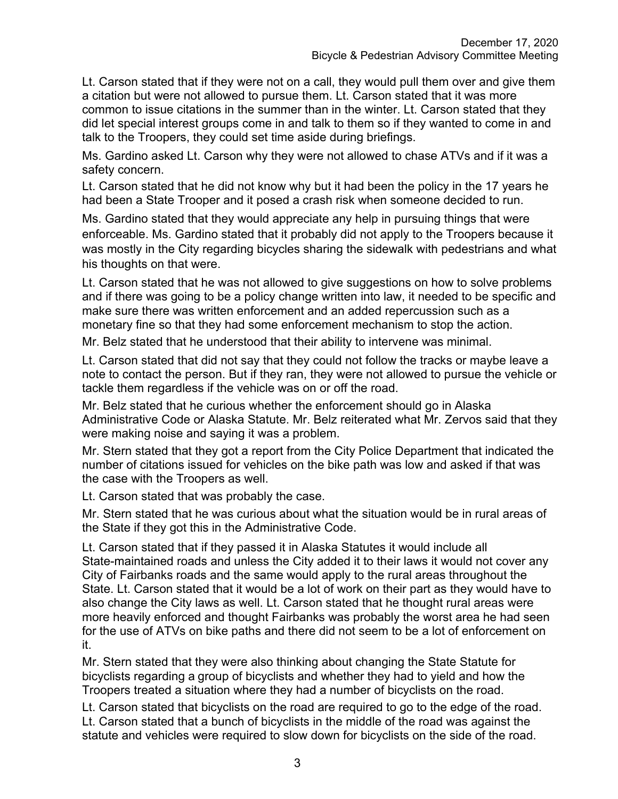Lt. Carson stated that if they were not on a call, they would pull them over and give them a citation but were not allowed to pursue them. Lt. Carson stated that it was more common to issue citations in the summer than in the winter. Lt. Carson stated that they did let special interest groups come in and talk to them so if they wanted to come in and talk to the Troopers, they could set time aside during briefings.

Ms. Gardino asked Lt. Carson why they were not allowed to chase ATVs and if it was a safety concern.

Lt. Carson stated that he did not know why but it had been the policy in the 17 years he had been a State Trooper and it posed a crash risk when someone decided to run.

Ms. Gardino stated that they would appreciate any help in pursuing things that were enforceable. Ms. Gardino stated that it probably did not apply to the Troopers because it was mostly in the City regarding bicycles sharing the sidewalk with pedestrians and what his thoughts on that were.

Lt. Carson stated that he was not allowed to give suggestions on how to solve problems and if there was going to be a policy change written into law, it needed to be specific and make sure there was written enforcement and an added repercussion such as a monetary fine so that they had some enforcement mechanism to stop the action.

Mr. Belz stated that he understood that their ability to intervene was minimal.

Lt. Carson stated that did not say that they could not follow the tracks or maybe leave a note to contact the person. But if they ran, they were not allowed to pursue the vehicle or tackle them regardless if the vehicle was on or off the road.

Mr. Belz stated that he curious whether the enforcement should go in Alaska Administrative Code or Alaska Statute. Mr. Belz reiterated what Mr. Zervos said that they were making noise and saying it was a problem.

Mr. Stern stated that they got a report from the City Police Department that indicated the number of citations issued for vehicles on the bike path was low and asked if that was the case with the Troopers as well.

Lt. Carson stated that was probably the case.

Mr. Stern stated that he was curious about what the situation would be in rural areas of the State if they got this in the Administrative Code.

Lt. Carson stated that if they passed it in Alaska Statutes it would include all State-maintained roads and unless the City added it to their laws it would not cover any City of Fairbanks roads and the same would apply to the rural areas throughout the State. Lt. Carson stated that it would be a lot of work on their part as they would have to also change the City laws as well. Lt. Carson stated that he thought rural areas were more heavily enforced and thought Fairbanks was probably the worst area he had seen for the use of ATVs on bike paths and there did not seem to be a lot of enforcement on it.

Mr. Stern stated that they were also thinking about changing the State Statute for bicyclists regarding a group of bicyclists and whether they had to yield and how the Troopers treated a situation where they had a number of bicyclists on the road.

Lt. Carson stated that bicyclists on the road are required to go to the edge of the road. Lt. Carson stated that a bunch of bicyclists in the middle of the road was against the statute and vehicles were required to slow down for bicyclists on the side of the road.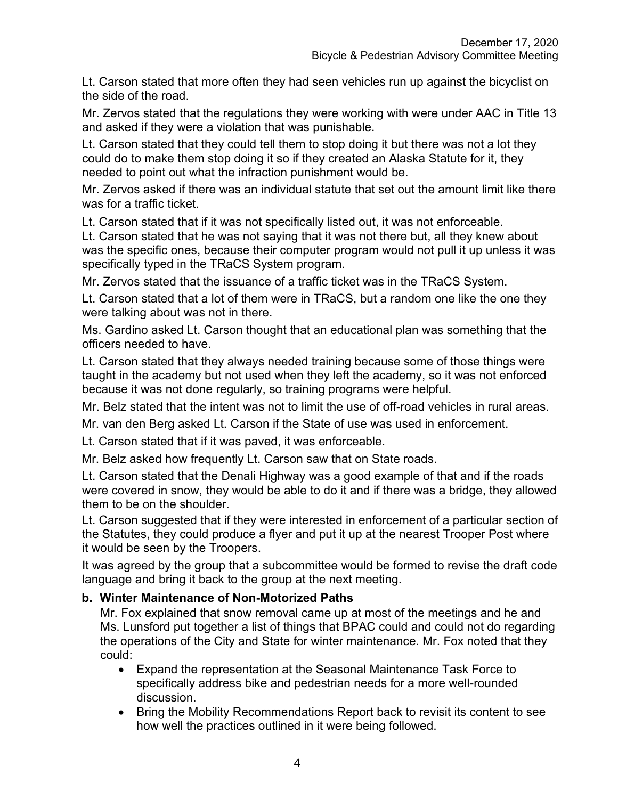Lt. Carson stated that more often they had seen vehicles run up against the bicyclist on the side of the road.

Mr. Zervos stated that the regulations they were working with were under AAC in Title 13 and asked if they were a violation that was punishable.

Lt. Carson stated that they could tell them to stop doing it but there was not a lot they could do to make them stop doing it so if they created an Alaska Statute for it, they needed to point out what the infraction punishment would be.

Mr. Zervos asked if there was an individual statute that set out the amount limit like there was for a traffic ticket.

Lt. Carson stated that if it was not specifically listed out, it was not enforceable.

Lt. Carson stated that he was not saying that it was not there but, all they knew about was the specific ones, because their computer program would not pull it up unless it was specifically typed in the TRaCS System program.

Mr. Zervos stated that the issuance of a traffic ticket was in the TRaCS System.

Lt. Carson stated that a lot of them were in TRaCS, but a random one like the one they were talking about was not in there.

Ms. Gardino asked Lt. Carson thought that an educational plan was something that the officers needed to have.

Lt. Carson stated that they always needed training because some of those things were taught in the academy but not used when they left the academy, so it was not enforced because it was not done regularly, so training programs were helpful.

Mr. Belz stated that the intent was not to limit the use of off-road vehicles in rural areas.

Mr. van den Berg asked Lt. Carson if the State of use was used in enforcement.

Lt. Carson stated that if it was paved, it was enforceable.

Mr. Belz asked how frequently Lt. Carson saw that on State roads.

Lt. Carson stated that the Denali Highway was a good example of that and if the roads were covered in snow, they would be able to do it and if there was a bridge, they allowed them to be on the shoulder.

Lt. Carson suggested that if they were interested in enforcement of a particular section of the Statutes, they could produce a flyer and put it up at the nearest Trooper Post where it would be seen by the Troopers.

It was agreed by the group that a subcommittee would be formed to revise the draft code language and bring it back to the group at the next meeting.

#### **b. Winter Maintenance of Non-Motorized Paths**

Mr. Fox explained that snow removal came up at most of the meetings and he and Ms. Lunsford put together a list of things that BPAC could and could not do regarding the operations of the City and State for winter maintenance. Mr. Fox noted that they could:

- Expand the representation at the Seasonal Maintenance Task Force to specifically address bike and pedestrian needs for a more well-rounded discussion.
- Bring the Mobility Recommendations Report back to revisit its content to see how well the practices outlined in it were being followed.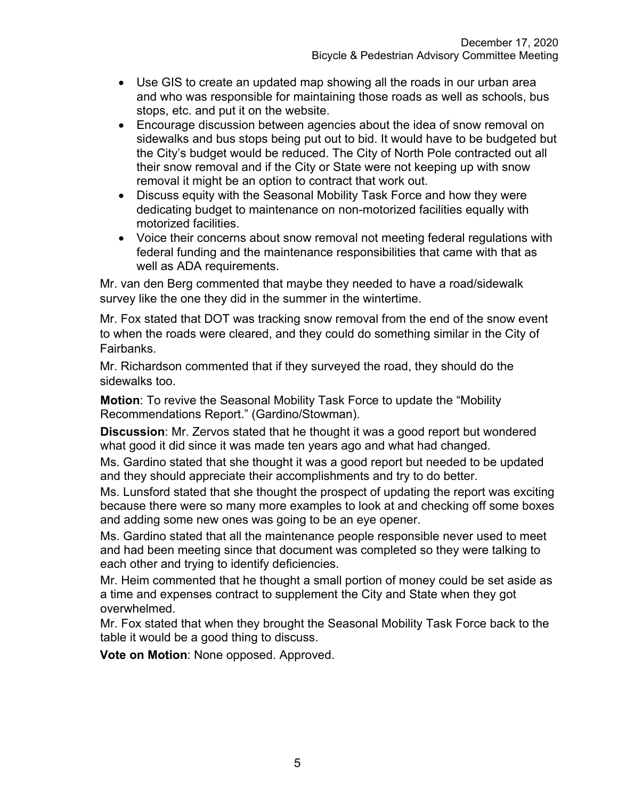- Use GIS to create an updated map showing all the roads in our urban area and who was responsible for maintaining those roads as well as schools, bus stops, etc. and put it on the website.
- Encourage discussion between agencies about the idea of snow removal on sidewalks and bus stops being put out to bid. It would have to be budgeted but the City's budget would be reduced. The City of North Pole contracted out all their snow removal and if the City or State were not keeping up with snow removal it might be an option to contract that work out.
- Discuss equity with the Seasonal Mobility Task Force and how they were dedicating budget to maintenance on non-motorized facilities equally with motorized facilities.
- Voice their concerns about snow removal not meeting federal regulations with federal funding and the maintenance responsibilities that came with that as well as ADA requirements.

Mr. van den Berg commented that maybe they needed to have a road/sidewalk survey like the one they did in the summer in the wintertime.

Mr. Fox stated that DOT was tracking snow removal from the end of the snow event to when the roads were cleared, and they could do something similar in the City of Fairbanks.

Mr. Richardson commented that if they surveyed the road, they should do the sidewalks too.

**Motion**: To revive the Seasonal Mobility Task Force to update the "Mobility Recommendations Report." (Gardino/Stowman).

**Discussion**: Mr. Zervos stated that he thought it was a good report but wondered what good it did since it was made ten years ago and what had changed.

Ms. Gardino stated that she thought it was a good report but needed to be updated and they should appreciate their accomplishments and try to do better.

Ms. Lunsford stated that she thought the prospect of updating the report was exciting because there were so many more examples to look at and checking off some boxes and adding some new ones was going to be an eye opener.

Ms. Gardino stated that all the maintenance people responsible never used to meet and had been meeting since that document was completed so they were talking to each other and trying to identify deficiencies.

Mr. Heim commented that he thought a small portion of money could be set aside as a time and expenses contract to supplement the City and State when they got overwhelmed.

Mr. Fox stated that when they brought the Seasonal Mobility Task Force back to the table it would be a good thing to discuss.

**Vote on Motion**: None opposed. Approved.